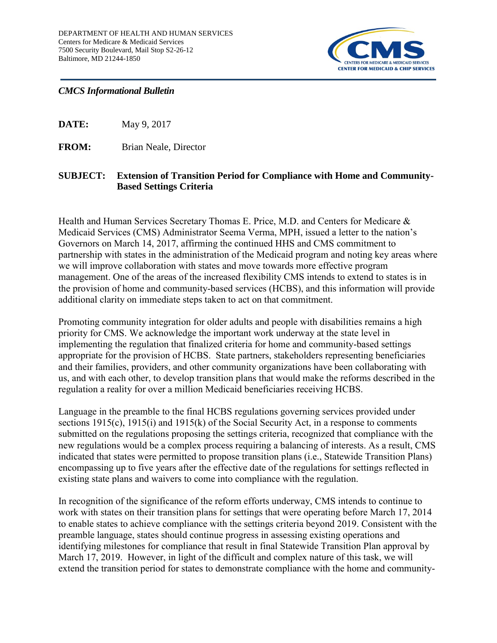

## *CMCS Informational Bulletin*

**DATE:** May 9, 2017

**FROM:** Brian Neale, Director

## **SUBJECT: Extension of Transition Period for Compliance with Home and Community-Based Settings Criteria**

Health and Human Services Secretary Thomas E. Price, M.D. and Centers for Medicare & Medicaid Services (CMS) Administrator Seema Verma, MPH, issued a letter to the nation's Governors on March 14, 2017, affirming the continued HHS and CMS commitment to partnership with states in the administration of the Medicaid program and noting key areas where we will improve collaboration with states and move towards more effective program management. One of the areas of the increased flexibility CMS intends to extend to states is in the provision of home and community-based services (HCBS), and this information will provide additional clarity on immediate steps taken to act on that commitment.

Promoting community integration for older adults and people with disabilities remains a high priority for CMS. We acknowledge the important work underway at the state level in implementing the regulation that finalized criteria for home and community-based settings appropriate for the provision of HCBS. State partners, stakeholders representing beneficiaries and their families, providers, and other community organizations have been collaborating with us, and with each other, to develop transition plans that would make the reforms described in the regulation a reality for over a million Medicaid beneficiaries receiving HCBS.

Language in the preamble to the final HCBS regulations governing services provided under sections 1915(c), 1915(i) and 1915(k) of the Social Security Act, in a response to comments submitted on the regulations proposing the settings criteria, recognized that compliance with the new regulations would be a complex process requiring a balancing of interests. As a result, CMS indicated that states were permitted to propose transition plans (i.e., Statewide Transition Plans) encompassing up to five years after the effective date of the regulations for settings reflected in existing state plans and waivers to come into compliance with the regulation.

In recognition of the significance of the reform efforts underway, CMS intends to continue to work with states on their transition plans for settings that were operating before March 17, 2014 to enable states to achieve compliance with the settings criteria beyond 2019. Consistent with the preamble language, states should continue progress in assessing existing operations and identifying milestones for compliance that result in final Statewide Transition Plan approval by March 17, 2019. However, in light of the difficult and complex nature of this task, we will extend the transition period for states to demonstrate compliance with the home and community-